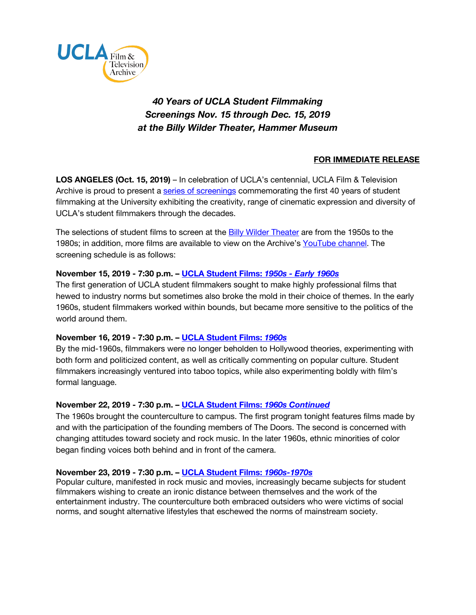

# *40 Years of UCLA Student Filmmaking Screenings Nov. 15 through Dec. 15, 2019 at the Billy Wilder Theater, Hammer Museum*

# **FOR IMMEDIATE RELEASE**

**LOS ANGELES (Oct. 15, 2019)** – In celebration of UCLA's centennial, UCLA Film & Television Archive is proud to present a [series of screenings](https://www.cinema.ucla.edu/events/2019/40-years-ucla-filmmaking) commemorating the first 40 years of student filmmaking at the University exhibiting the creativity, range of cinematic expression and diversity of UCLA's student filmmakers through the decades.

The selections of student films to screen at the **Billy Wilder Theater** are from the 1950s to the 1980s; in addition, more films are available to view on the Archive's [YouTube channel](https://www.youtube.com/playlist?list=PLVTStOGUY_UeJVU7k-Mj42DpetEfH_yAQ). The screening schedule is as follows:

## **November 15, 2019 - 7:30 p.m. – [UCLA Student Films:](https://www.cinema.ucla.edu/events/2019/11/15/1950s-early-1960s)** *1950s - Early 1960s*

The first generation of UCLA student filmmakers sought to make highly professional films that hewed to industry norms but sometimes also broke the mold in their choice of themes. In the early 1960s, student filmmakers worked within bounds, but became more sensitive to the politics of the world around them.

## **November 16, 2019 - 7:30 p.m. – [UCLA Student Films:](https://www.cinema.ucla.edu/events/2019/11/16/the-1960s)** *1960s*

By the mid-1960s, filmmakers were no longer beholden to Hollywood theories, experimenting with both form and politicized content, as well as critically commenting on popular culture. Student filmmakers increasingly ventured into taboo topics, while also experimenting boldly with film's formal language.

#### **November 22, 2019 - 7:30 p.m. – [UCLA Student Films:](https://www.cinema.ucla.edu/events/2019/11/22/1960s-continued)** *1960s Continued*

The 1960s brought the counterculture to campus. The first program tonight features films made by and with the participation of the founding members of The Doors. The second is concerned with changing attitudes toward society and rock music. In the later 1960s, ethnic minorities of color began finding voices both behind and in front of the camera.

#### **November 23, 2019 - 7:30 p.m. – [UCLA Student Films:](https://www.cinema.ucla.edu/events/2019/11/23/1960s-1970s)** *1960s-1970s*

Popular culture, manifested in rock music and movies, increasingly became subjects for student filmmakers wishing to create an ironic distance between themselves and the work of the entertainment industry. The counterculture both embraced outsiders who were victims of social norms, and sought alternative lifestyles that eschewed the norms of mainstream society.